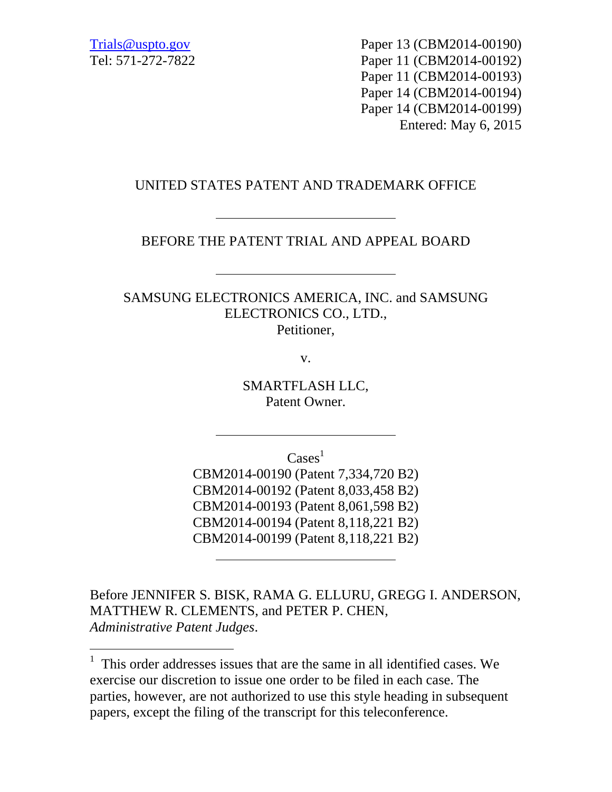-

Trials@uspto.gov Paper 13 (CBM2014-00190) Tel: 571-272-7822 Paper 11 (CBM2014-00192) Paper 11 (CBM2014-00193) Paper 14 (CBM2014-00194) Paper 14 (CBM2014-00199) Entered: May 6, 2015

## UNITED STATES PATENT AND TRADEMARK OFFICE

BEFORE THE PATENT TRIAL AND APPEAL BOARD

SAMSUNG ELECTRONICS AMERICA, INC. and SAMSUNG ELECTRONICS CO., LTD., Petitioner,

v.

SMARTFLASH LLC, Patent Owner.

 $\text{Case} \text{s}^1$ 

CBM2014-00190 (Patent 7,334,720 B2) CBM2014-00192 (Patent 8,033,458 B2) CBM2014-00193 (Patent 8,061,598 B2) CBM2014-00194 (Patent 8,118,221 B2) CBM2014-00199 (Patent 8,118,221 B2)

Before JENNIFER S. BISK, RAMA G. ELLURU, GREGG I. ANDERSON, MATTHEW R. CLEMENTS, and PETER P. CHEN, *Administrative Patent Judges*.

 $<sup>1</sup>$  This order addresses issues that are the same in all identified cases. We</sup> exercise our discretion to issue one order to be filed in each case. The parties, however, are not authorized to use this style heading in subsequent papers, except the filing of the transcript for this teleconference.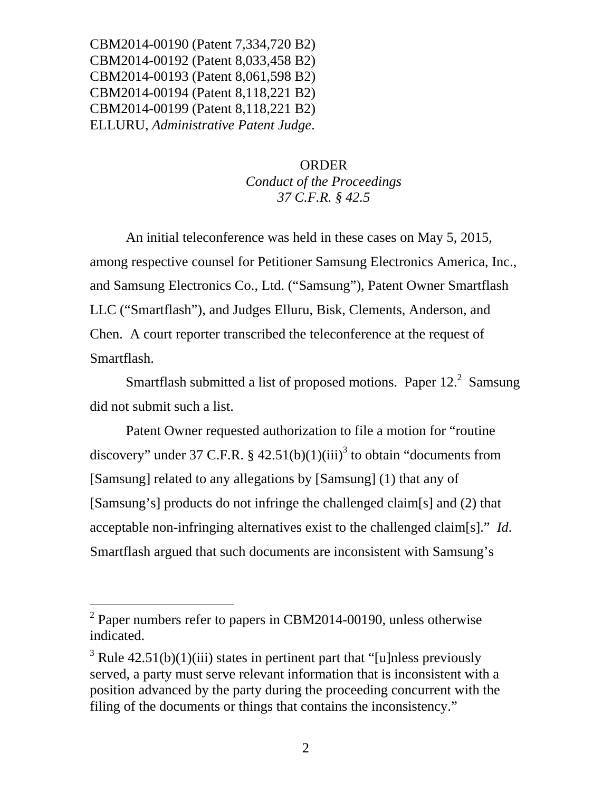CBM2014-00190 (Patent 7,334,720 B2) CBM2014-00192 (Patent 8,033,458 B2) CBM2014-00193 (Patent 8,061,598 B2) CBM2014-00194 (Patent 8,118,221 B2) CBM2014-00199 (Patent 8,118,221 B2) ELLURU, *Administrative Patent Judge*.

## ORDER *Conduct of the Proceedings 37 C.F.R. § 42.5*

An initial teleconference was held in these cases on May 5, 2015, among respective counsel for Petitioner Samsung Electronics America, Inc., and Samsung Electronics Co., Ltd. ("Samsung"), Patent Owner Smartflash LLC ("Smartflash"), and Judges Elluru, Bisk, Clements, Anderson, and Chen. A court reporter transcribed the teleconference at the request of Smartflash.

Smartflash submitted a list of proposed motions. Paper  $12<sup>2</sup>$  Samsung did not submit such a list.

 Patent Owner requested authorization to file a motion for "routine discovery" under 37 C.F.R. §  $42.51(b)(1)(iii)^3$  to obtain "documents from [Samsung] related to any allegations by [Samsung] (1) that any of [Samsung's] products do not infringe the challenged claim[s] and (2) that acceptable non-infringing alternatives exist to the challenged claim[s]." *Id*. Smartflash argued that such documents are inconsistent with Samsung's

 $\overline{a}$ 

 $2$  Paper numbers refer to papers in CBM2014-00190, unless otherwise indicated.

<sup>&</sup>lt;sup>3</sup> Rule 42.51(b)(1)(iii) states in pertinent part that "[u]nless previously served, a party must serve relevant information that is inconsistent with a position advanced by the party during the proceeding concurrent with the filing of the documents or things that contains the inconsistency."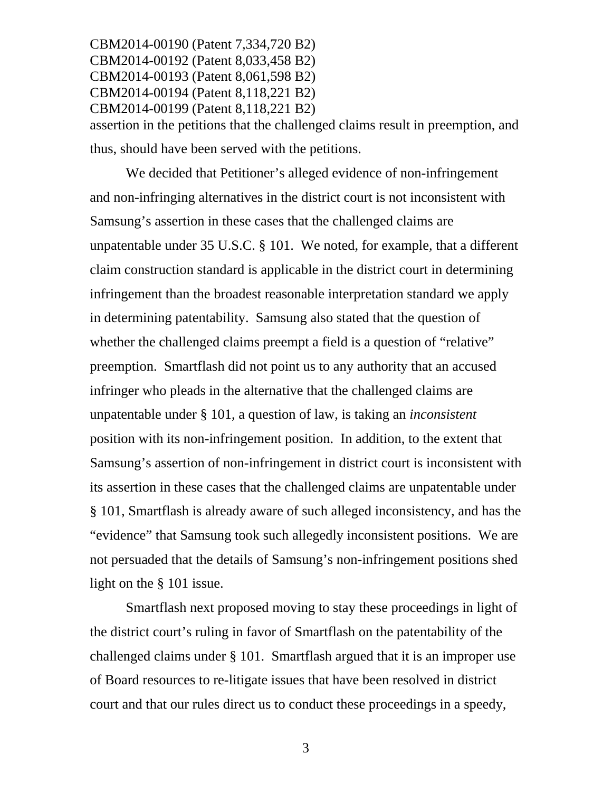CBM2014-00190 (Patent 7,334,720 B2) CBM2014-00192 (Patent 8,033,458 B2) CBM2014-00193 (Patent 8,061,598 B2) CBM2014-00194 (Patent 8,118,221 B2) CBM2014-00199 (Patent 8,118,221 B2) assertion in the petitions that the challenged claims result in preemption, and thus, should have been served with the petitions.

We decided that Petitioner's alleged evidence of non-infringement and non-infringing alternatives in the district court is not inconsistent with Samsung's assertion in these cases that the challenged claims are unpatentable under 35 U.S.C. § 101. We noted, for example, that a different claim construction standard is applicable in the district court in determining infringement than the broadest reasonable interpretation standard we apply in determining patentability. Samsung also stated that the question of whether the challenged claims preempt a field is a question of "relative" preemption. Smartflash did not point us to any authority that an accused infringer who pleads in the alternative that the challenged claims are unpatentable under § 101, a question of law, is taking an *inconsistent* position with its non-infringement position. In addition, to the extent that Samsung's assertion of non-infringement in district court is inconsistent with its assertion in these cases that the challenged claims are unpatentable under § 101, Smartflash is already aware of such alleged inconsistency, and has the "evidence" that Samsung took such allegedly inconsistent positions. We are not persuaded that the details of Samsung's non-infringement positions shed light on the § 101 issue.

Smartflash next proposed moving to stay these proceedings in light of the district court's ruling in favor of Smartflash on the patentability of the challenged claims under § 101. Smartflash argued that it is an improper use of Board resources to re-litigate issues that have been resolved in district court and that our rules direct us to conduct these proceedings in a speedy,

3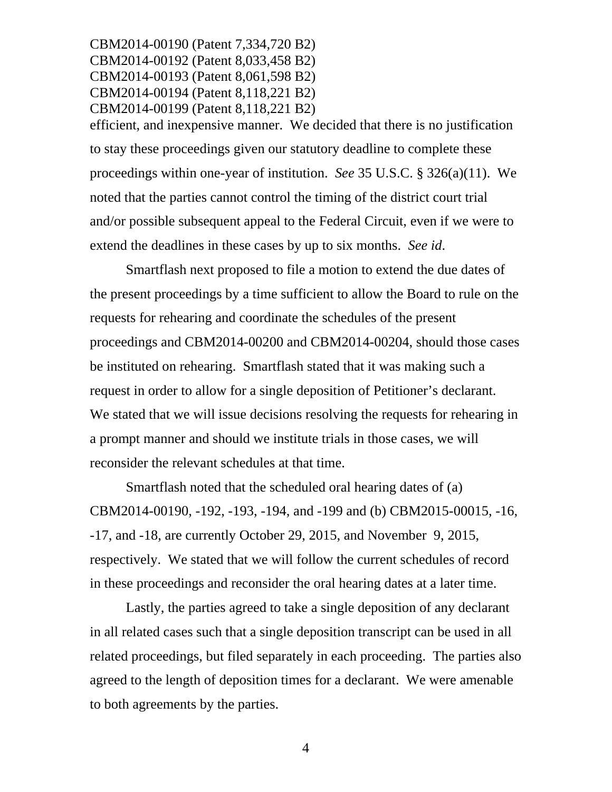CBM2014-00190 (Patent 7,334,720 B2) CBM2014-00192 (Patent 8,033,458 B2) CBM2014-00193 (Patent 8,061,598 B2) CBM2014-00194 (Patent 8,118,221 B2) CBM2014-00199 (Patent 8,118,221 B2) efficient, and inexpensive manner. We decided that there is no justification to stay these proceedings given our statutory deadline to complete these proceedings within one-year of institution. *See* 35 U.S.C. § 326(a)(11). We noted that the parties cannot control the timing of the district court trial and/or possible subsequent appeal to the Federal Circuit, even if we were to extend the deadlines in these cases by up to six months. *See id*.

Smartflash next proposed to file a motion to extend the due dates of the present proceedings by a time sufficient to allow the Board to rule on the requests for rehearing and coordinate the schedules of the present proceedings and CBM2014-00200 and CBM2014-00204, should those cases be instituted on rehearing. Smartflash stated that it was making such a request in order to allow for a single deposition of Petitioner's declarant. We stated that we will issue decisions resolving the requests for rehearing in a prompt manner and should we institute trials in those cases, we will reconsider the relevant schedules at that time.

Smartflash noted that the scheduled oral hearing dates of (a) CBM2014-00190, -192, -193, -194, and -199 and (b) CBM2015-00015, -16, -17, and -18, are currently October 29, 2015, and November 9, 2015, respectively. We stated that we will follow the current schedules of record in these proceedings and reconsider the oral hearing dates at a later time.

Lastly, the parties agreed to take a single deposition of any declarant in all related cases such that a single deposition transcript can be used in all related proceedings, but filed separately in each proceeding. The parties also agreed to the length of deposition times for a declarant. We were amenable to both agreements by the parties.

4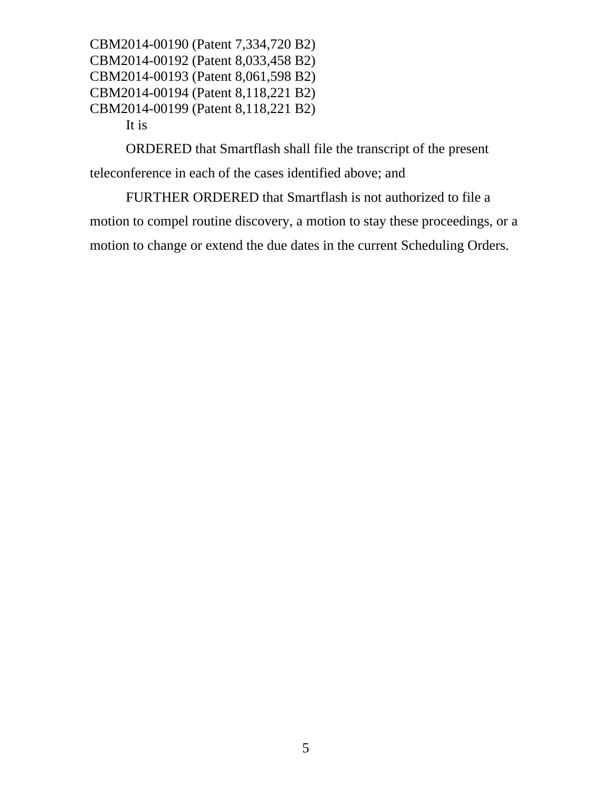CBM2014-00190 (Patent 7,334,720 B2) CBM2014-00192 (Patent 8,033,458 B2) CBM2014-00193 (Patent 8,061,598 B2) CBM2014-00194 (Patent 8,118,221 B2) CBM2014-00199 (Patent 8,118,221 B2) It is

ORDERED that Smartflash shall file the transcript of the present teleconference in each of the cases identified above; and

FURTHER ORDERED that Smartflash is not authorized to file a motion to compel routine discovery, a motion to stay these proceedings, or a motion to change or extend the due dates in the current Scheduling Orders.